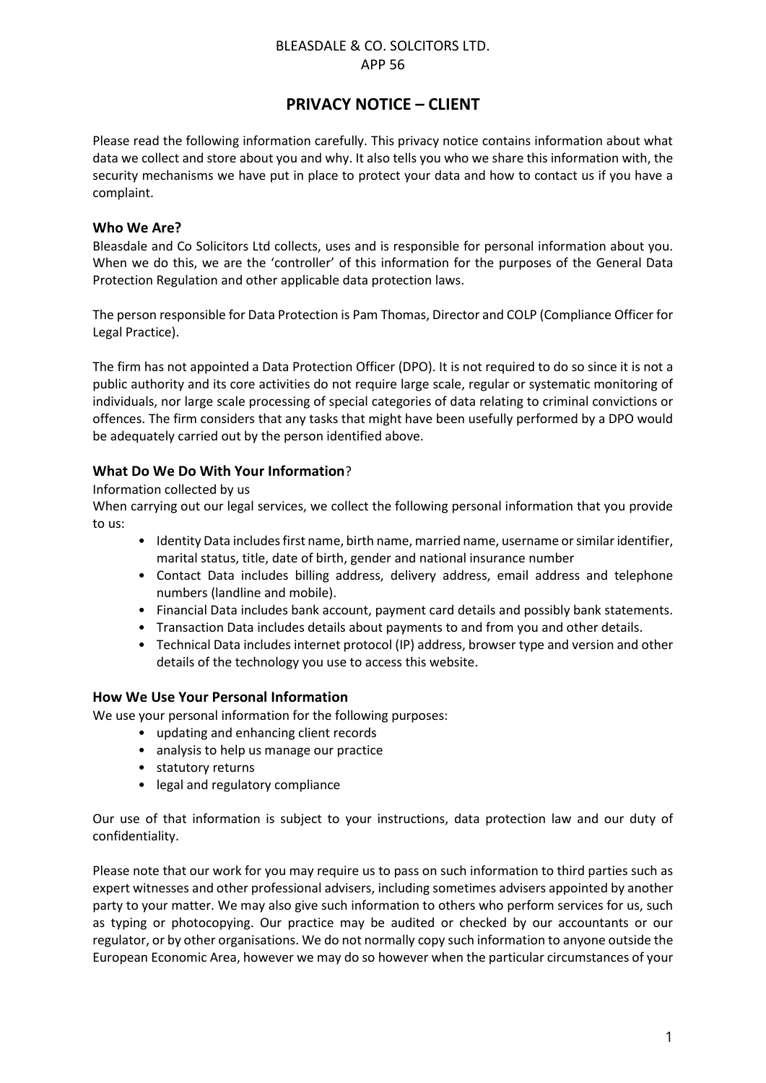## BLEASDALE & CO. SOLCITORS LTD. APP 56

# **PRIVACY NOTICE – CLIENT**

Please read the following information carefully. This privacy notice contains information about what data we collect and store about you and why. It also tells you who we share this information with, the security mechanisms we have put in place to protect your data and how to contact us if you have a complaint.

## **Who We Are?**

Bleasdale and Co Solicitors Ltd collects, uses and is responsible for personal information about you. When we do this, we are the 'controller' of this information for the purposes of the General Data Protection Regulation and other applicable data protection laws.

The person responsible for Data Protection is Pam Thomas, Director and COLP (Compliance Officer for Legal Practice).

The firm has not appointed a Data Protection Officer (DPO). It is not required to do so since it is not a public authority and its core activities do not require large scale, regular or systematic monitoring of individuals, nor large scale processing of special categories of data relating to criminal convictions or offences. The firm considers that any tasks that might have been usefully performed by a DPO would be adequately carried out by the person identified above.

# **What Do We Do With Your Information**?

Information collected by us

When carrying out our legal services, we collect the following personal information that you provide to us:

- Identity Data includes first name, birth name, married name, username or similar identifier, marital status, title, date of birth, gender and national insurance number
- Contact Data includes billing address, delivery address, email address and telephone numbers (landline and mobile).
- Financial Data includes bank account, payment card details and possibly bank statements.
- Transaction Data includes details about payments to and from you and other details.
- Technical Data includes internet protocol (IP) address, browser type and version and other details of the technology you use to access this website.

## **How We Use Your Personal Information**

We use your personal information for the following purposes:

- updating and enhancing client records
- analysis to help us manage our practice
- statutory returns
- legal and regulatory compliance

Our use of that information is subject to your instructions, data protection law and our duty of confidentiality.

Please note that our work for you may require us to pass on such information to third parties such as expert witnesses and other professional advisers, including sometimes advisers appointed by another party to your matter. We may also give such information to others who perform services for us, such as typing or photocopying. Our practice may be audited or checked by our accountants or our regulator, or by other organisations. We do not normally copy such information to anyone outside the European Economic Area, however we may do so however when the particular circumstances of your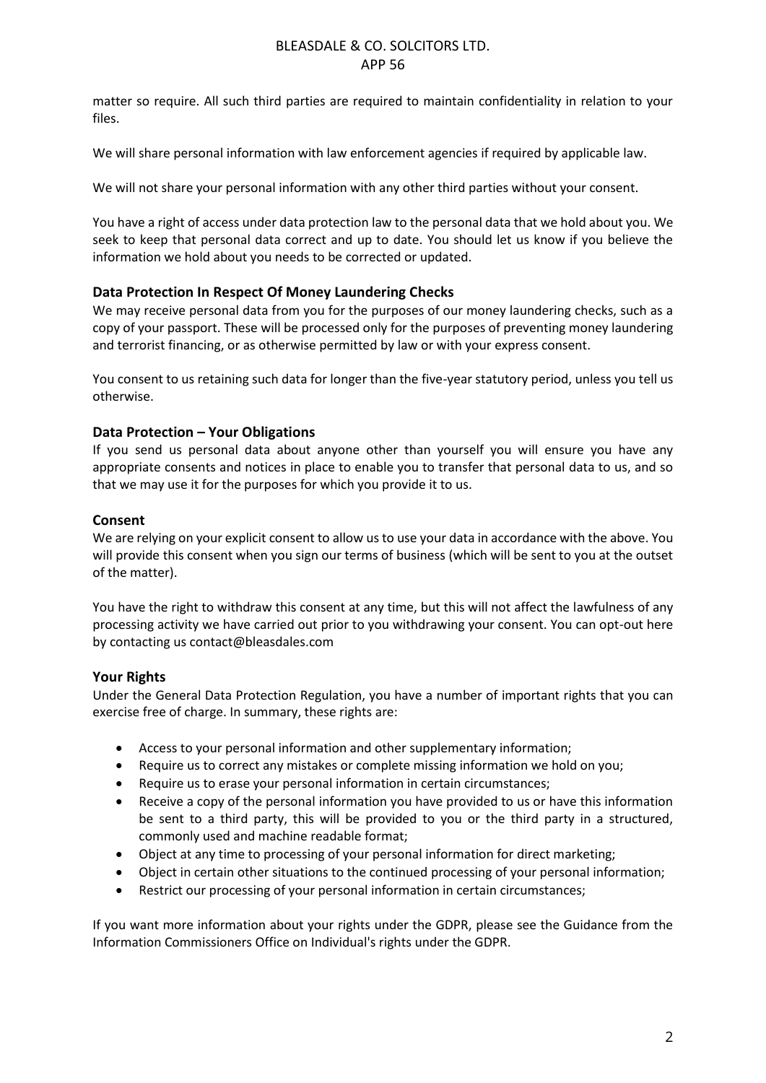## BLEASDALE & CO. SOLCITORS LTD. APP 56

matter so require. All such third parties are required to maintain confidentiality in relation to your files.

We will share personal information with law enforcement agencies if required by applicable law.

We will not share your personal information with any other third parties without your consent.

You have a right of access under data protection law to the personal data that we hold about you. We seek to keep that personal data correct and up to date. You should let us know if you believe the information we hold about you needs to be corrected or updated.

## **Data Protection In Respect Of Money Laundering Checks**

We may receive personal data from you for the purposes of our money laundering checks, such as a copy of your passport. These will be processed only for the purposes of preventing money laundering and terrorist financing, or as otherwise permitted by law or with your express consent.

You consent to us retaining such data for longer than the five-year statutory period, unless you tell us otherwise.

# **Data Protection – Your Obligations**

If you send us personal data about anyone other than yourself you will ensure you have any appropriate consents and notices in place to enable you to transfer that personal data to us, and so that we may use it for the purposes for which you provide it to us.

## **Consent**

We are relying on your explicit consent to allow us to use your data in accordance with the above. You will provide this consent when you sign our terms of business (which will be sent to you at the outset of the matter).

You have the right to withdraw this consent at any time, but this will not affect the lawfulness of any processing activity we have carried out prior to you withdrawing your consent. You can opt-out here by contacting us contact@bleasdales.com

## **Your Rights**

Under the General Data Protection Regulation, you have a number of important rights that you can exercise free of charge. In summary, these rights are:

- Access to your personal information and other supplementary information;
- Require us to correct any mistakes or complete missing information we hold on you;
- Require us to erase your personal information in certain circumstances;
- Receive a copy of the personal information you have provided to us or have this information be sent to a third party, this will be provided to you or the third party in a structured, commonly used and machine readable format;
- Object at any time to processing of your personal information for direct marketing;
- Object in certain other situations to the continued processing of your personal information;
- Restrict our processing of your personal information in certain circumstances;

If you want more information about your rights under the GDPR, please see the Guidance from the Information Commissioners Office on Individual's rights under the GDPR.